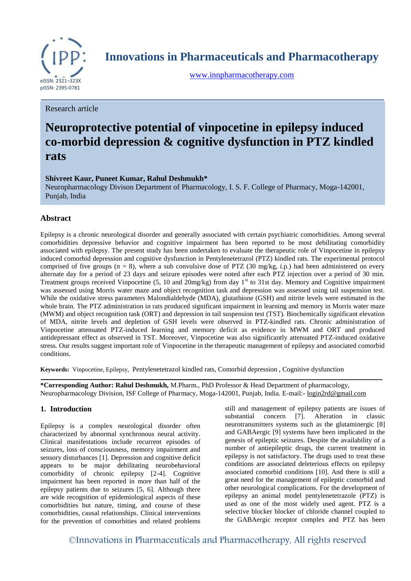

**Innovations in Pharmaceuticals and Pharmacotherapy**

[www.innpharmacotherapy.com](http://www.innpharmacotherapy.com/)

Research article

# **Neuroprotective potential of vinpocetine in epilepsy induced co-morbid depression & cognitive dysfunction in PTZ kindled rats**

# **Shivreet Kaur, Puneet Kumar, Rahul Deshmukh\***

Neuropharmacology Divison Department of Pharmacology, I. S. F. College of Pharmacy, Moga-142001, Punjab, India

# **Abstract**

Epilepsy is a chronic neurological disorder and generally associated with certain psychiatric comorbidities. Among several comorbidities depressive behavior and cognitive impairment has been reported to be most debilitating comorbidity associated with epilepsy. The present study has been undertaken to evaluate the therapeutic role of Vinpocetine in epilepsy induced comorbid depression and cognitive dysfunction in Pentylenetetrazol (PTZ) kindled rats. The experimental protocol comprised of five groups ( $n = 8$ ), where a sub convulsive dose of PTZ (30 mg/kg, i.p.) had been administered on every alternate day for a period of 23 days and seizure episodes were noted after each PTZ injection over a period of 30 min. Treatment groups received Vinpocetine (5, 10 and 20mg/kg) from day 1<sup>st</sup> to 31st day. Memory and Cognitive impairment was assessed using Morris water maze and object recognition task and depression was assessed using tail suspension test. While the oxidative stress parameters Malondialdehyde (MDA), glutathione (GSH) and nitrite levels were estimated in the whole brain. The PTZ administration in rats produced significant impairment in learning and memory in Morris water maze (MWM) and object recognition task (ORT) and depression in tail suspension test (TST). Biochemically significant elevation of MDA, nitrite levels and depletion of GSH levels were observed in PTZ-kindled rats. Chronic administration of Vinpocetine attenuated PTZ-induced learning and memory deficit as evidence in MWM and ORT and produced antidepressant effect as observed in TST. Moreover, Vinpocetine was also significantly attenuated PTZ-induced oxidative stress. Our results suggest important role of Vinpocetine in the therapeutic management of epilepsy and associated comorbid conditions.

**Keywords:** Vinpocetine, Epilepsy, Pentylenetetrazol kindled rats, Comorbid depression , Cognitive dysfunction

**\*Corresponding Author: Rahul Deshmukh,** M.Pharm., PhD Professor & Head Department of pharmacology, Neuropharmacology Division, ISF College of Pharmacy, Moga-142001, Punjab, India. E-mail:- [login2rd@gmail.com](mailto:login2rd@gmail.com)

# **1. Introduction**

Epilepsy is a complex neurological disorder often characterized by abnormal synchronous neural activity. Clinical manifestations include recurrent episodes of seizures, loss of consciousness, memory impairment and sensory disturbances [1]. Depression and cognitive deficit appears to be major debilitating neurobehavioral comorbidity of chronic epilepsy [2-4]. Cognitive impairment has been reported in more than half of the epilepsy patients due to seizures [5, 6]. Although there are wide recognition of epidemiological aspects of these comorbidities but nature, timing, and course of these comorbidities, causal relationships. Clinical interventions for the prevention of comorbities and related problems

still and management of epilepsy patients are issues of substantial concern [7]. Alteration in classic neurotransmitters systems such as the glutaminergic [8] and GABAergic [9] systems have been implicated in the genesis of epileptic seizures. Despite the availability of a number of antiepileptic drugs, the current treatment in epilepsy is not satisfactory. The drugs used to treat these conditions are associated deleterious effects on epilepsy associated comorbid conditions [10]. And there is still a great need for the management of epileptic comorbid and other neurological complications. For the development of epilepsy an animal model pentylenetetrazole (PTZ) is used as one of the most widely used agent. PTZ is a selective blocker blocker of chloride channel coupled to the GABAergic receptor complex and PTZ has been

©Innovations in Pharmaceuticals and Pharmacotherapy, All rights reserved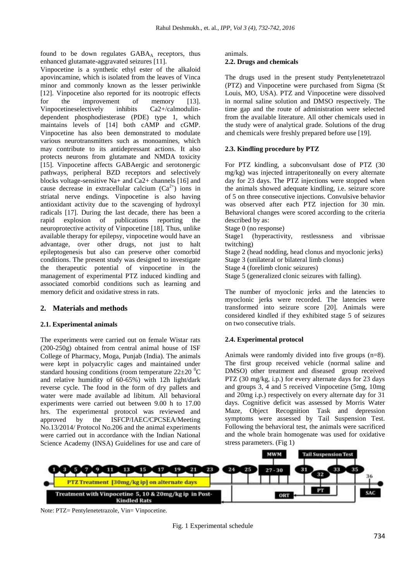found to be down regulates  $GABA_A$  receptors, thus enhanced glutamate-aggravated seizures [11].

Vinpocetine is a synthetic ethyl ester of the alkaloid apovincamine, which is isolated from the leaves of Vinca minor and commonly known as the lesser periwinkle [12]. Vinpocetine also reported for its nootropic effects for the improvement of memory [13]. Vinpocetineselectively inhibits Ca2+/calmodulindependent phosphodiesterase (PDE) type 1, which maintains levels of [14] both cAMP and cGMP. Vinpocetine has also been demonstrated to modulate various neurotransmitters such as monoamines, which may contribute to its antidepressant actions. It also protects neurons from glutamate and NMDA toxicity [15]. Vinpocetine affects GABAergic and serotonergic pathways, peripheral BZD receptors and selectively blocks voltage-sensitive Na+ and Ca2+ channels [16] and cause decrease in extracellular calcium  $(Ca^{2+})$  ions in striatal nerve endings. Vinpocetine is also having antioxidant activity due to the scavenging of hydroxyl radicals [17]. During the last decade, there has been a rapid explosion of publications reporting the neuroprotective activity of Vinpocetine [18]. Thus, unlike available therapy for epilepsy, vinpocetine would have an advantage, over other drugs, not just to halt epileptogenesis but also can preserve other comorbid conditions. The present study was designed to investigate the therapeutic potential of vinpocetine in the management of experimental PTZ induced kindling and associated comorbid conditions such as learning and memory deficit and oxidative stress in rats.

# **2. Materials and methods**

## **2.1. Experimental animals**

The experiments were carried out on female Wistar rats (200-250g) obtained from central animal house of ISF College of Pharmacy, Moga, Punjab (India). The animals were kept in polyacrylic cages and maintained under standard housing conditions (room temperature  $22\pm20\degree$ C and relative humidity of 60-65%) with 12h light/dark reverse cycle. The food in the form of dry pallets and water were made available ad libitum. All behavioral experiments were carried out between 9.00 h to 17.00 hrs. The experimental protocol was reviewed and approved by the ISFCP/IAEC/CPCSEA/Meeting No.13/2014/ Protocol No.206 and the animal experiments were carried out in accordance with the Indian National Science Academy (INSA) Guidelines for use and care of

animals.

## **2.2. Drugs and chemicals**

The drugs used in the present study Pentylenetetrazol (PTZ) and Vinpocetine were purchased from Sigma (St Louis, MO, USA). PTZ and Vinpocetine were dissolved in normal saline solution and DMSO respectively. The time gap and the route of administration were selected from the available literature. All other chemicals used in the study were of analytical grade. Solutions of the drug and chemicals were freshly prepared before use [19].

# **2.3. Kindling procedure by PTZ**

For PTZ kindling, a subconvulsant dose of PTZ (30 mg/kg) was injected intraperitoneally on every alternate day for 23 days. The PTZ injections were stopped when the animals showed adequate kindling, i.e. seizure score of 5 on three consecutive injections. Convulsive behavior was observed after each PTZ injection for 30 min. Behavioral changes were scored according to the criteria described by as:

Stage 0 (no response)

Stage1 (hyperactivity, restlessness and vibrissae twitching)

Stage 2 (head nodding, head clonus and myoclonic jerks)

Stage 3 (unilateral or bilateral limb clonus)

Stage 4 (forelimb clonic seizures)

Stage 5 (generalized clonic seizures with falling).

The number of myoclonic jerks and the latencies to myoclonic jerks were recorded. The latencies were transformed into seizure score [20]. Animals were considered kindled if they exhibited stage 5 of seizures on two consecutive trials.

# **2.4. Experimental protocol**

Animals were randomly divided into five groups (n=8). The first group received vehicle (normal saline and DMSO) other treatment and diseased group received PTZ (30 mg/kg, i.p.) for every alternate days for 23 days and groups 3, 4 and 5 received Vinpocetine (5mg, 10mg and 20mg i.p.) respectively on every alternate day for 31 days. Cognitive deficit was assessed by Morris Water Maze, Object Recognition Task and depression symptoms were assessed by Tail Suspension Test. Following the behavioral test, the animals were sacrificed and the whole brain homogenate was used for oxidative stress parameters. (Fig 1)



Note: PTZ= Pentylenetetrazole, Vin= Vinpocetine.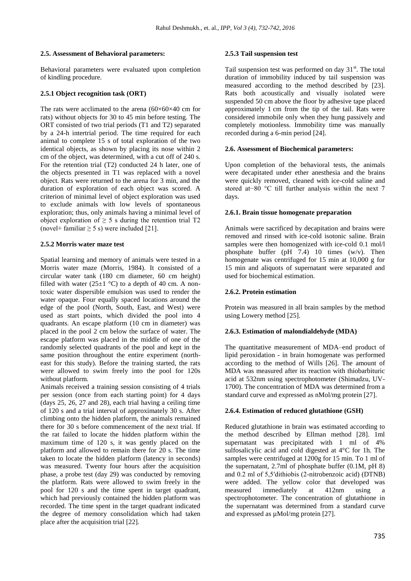## **2.5. Assessment of Behavioral parameters:**

Behavioral parameters were evaluated upon completion of kindling procedure.

## **2.5.1 Object recognition task (ORT)**

The rats were acclimated to the arena  $(60\times60\times40$  cm for rats) without objects for 30 to 45 min before testing. The ORT consisted of two trial periods (T1 and T2) separated by a 24-h intertrial period. The time required for each animal to complete 15 s of total exploration of the two identical objects, as shown by placing its nose within 2 cm of the object, was determined, with a cut off of 240 s. For the retention trial (T2) conducted 24 h later, one of the objects presented in T1 was replaced with a novel object. Rats were returned to the arena for 3 min, and the duration of exploration of each object was scored. A criterion of minimal level of object exploration was used to exclude animals with low levels of spontaneous exploration; thus, only animals having a minimal level of object exploration of  $\geq$  5 s during the retention trial T2 (novel+ familiar  $\geq$  5 s) were included [21].

## **2.5.2 Morris water maze test**

Spatial learning and memory of animals were tested in a Morris water maze (Morris, 1984). It consisted of a circular water tank (180 cm diameter, 60 cm height) filled with water (25 $\pm$ 1 °C) to a depth of 40 cm. A nontoxic water dispersible emulsion was used to render the water opaque. Four equally spaced locations around the edge of the pool (North, South, East, and West) were used as start points, which divided the pool into 4 quadrants. An escape platform (10 cm in diameter) was placed in the pool 2 cm below the surface of water. The escape platform was placed in the middle of one of the randomly selected quadrants of the pool and kept in the same position throughout the entire experiment (northeast for this study). Before the training started, the rats were allowed to swim freely into the pool for 120s without platform.

Animals received a training session consisting of 4 trials per session (once from each starting point) for 4 days (days 25, 26, 27 and 28), each trial having a ceiling time of 120 s and a trial interval of approximately 30 s. After climbing onto the hidden platform, the animals remained there for 30 s before commencement of the next trial. If the rat failed to locate the hidden platform within the maximum time of 120 s, it was gently placed on the platform and allowed to remain there for 20 s. The time taken to locate the hidden platform (latency in seconds) was measured. Twenty four hours after the acquisition phase, a probe test (day 29) was conducted by removing the platform. Rats were allowed to swim freely in the pool for 120 s and the time spent in target quadrant, which had previously contained the hidden platform was recorded. The time spent in the target quadrant indicated the degree of memory consolidation which had taken place after the acquisition trial [22].

## **2.5.3 Tail suspension test**

Tail suspension test was performed on day  $31<sup>st</sup>$ . The total duration of immobility induced by tail suspension was measured according to the method described by [23]. Rats both acoustically and visually isolated were suspended 50 cm above the floor by adhesive tape placed approximately 1 cm from the tip of the tail. Rats were considered immobile only when they hung passively and completely motionless. Immobility time was manually recorded during a 6-min period [24].

## **2.6. Assessment of Biochemical parameters:**

Upon completion of the behavioral tests, the animals were decapitated under ether anesthesia and the brains were quickly removed, cleaned with ice-cold saline and stored at−80 °C till further analysis within the next 7 days.

## **2.6.1. Brain tissue homogenate preparation**

Animals were sacrificed by decapitation and brains were removed and rinsed with ice-cold isotonic saline. Brain samples were then homogenized with ice-cold 0.1 mol/l phosphate buffer (pH 7.4) 10 times (w/v). Then homogenate was centrifuged for 15 min at 10,000 g for 15 min and aliquots of supernatant were separated and used for biochemical estimation.

## **2.6.2. Protein estimation**

Protein was measured in all brain samples by the method using Lowery method [25].

## **2.6.3. Estimation of malondialdehyde (MDA)**

The quantitative measurement of MDA–end product of lipid peroxidation - in brain homogenate was performed according to the method of Wills [26]. The amount of MDA was measured after its reaction with thiobarbituric acid at 532nm using spectrophotometer (Shimadzu, UV-1700). The concentration of MDA was determined from a standard curve and expressed as nMol/mg protein [27].

## **2.6.4. Estimation of reduced glutathione (GSH)**

Reduced glutathione in brain was estimated according to the method described by Ellman method [28]. 1ml supernatant was precipitated with 1 ml of 4% sulfosalicylic acid and cold digested at 4°C for 1h. The samples were centrifuged at 1200g for 15 min. To 1 ml of the supernatant, 2.7ml of phosphate buffer (0.1M, pH 8) and 0.2 ml of 5,5′dithiobis (2-nitrobenzoic acid) (DTNB) were added. The yellow color that developed was measured immediately at 412nm using a spectrophotometer. The concentration of glutathione in the supernatant was determined from a standard curve and expressed as µMol/mg protein [27].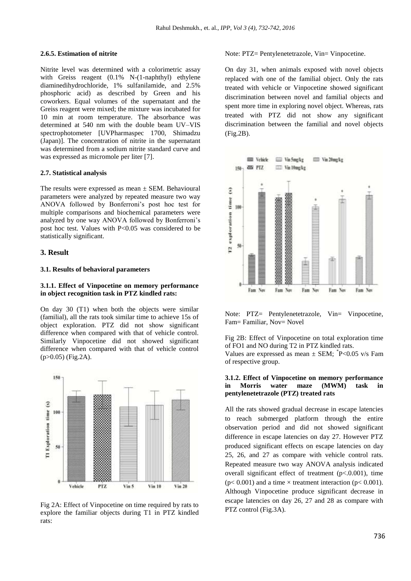#### **2.6.5. Estimation of nitrite**

Nitrite level was determined with a colorimetric assay with Greiss reagent (0.1% N-(1-naphthyl) ethylene diaminedihydrochloride, 1% sulfanilamide, and 2.5% phosphoric acid) as described by Green and his coworkers. Equal volumes of the supernatant and the Greiss reagent were mixed; the mixture was incubated for 10 min at room temperature. The absorbance was determined at 540 nm with the double beam UV–VIS spectrophotometer [UVPharmaspec 1700, Shimadzu (Japan)]. The concentration of nitrite in the supernatant was determined from a sodium nitrite standard curve and was expressed as micromole per liter [7].

#### **2.7. Statistical analysis**

The results were expressed as mean  $\pm$  SEM. Behavioural parameters were analyzed by repeated measure two way ANOVA followed by Bonferroni's post hoc test for multiple comparisons and biochemical parameters were analyzed by one way ANOVA followed by Bonferroni's post hoc test. Values with  $P<0.05$  was considered to be statistically significant.

#### **3. Result**

#### **3.1. Results of behavioral parameters**

## **3.1.1. Effect of Vinpocetine on memory performance in object recognition task in PTZ kindled rats:**

On day 30 (T1) when both the objects were similar (familial), all the rats took similar time to achieve 15s of object exploration. PTZ did not show significant difference when compared with that of vehicle control. Similarly Vinpocetine did not showed significant difference when compared with that of vehicle control (p>0.05) (Fig.2A).



Fig 2A: Effect of Vinpocetine on time required by rats to explore the familiar objects during T1 in PTZ kindled rats:

Note: PTZ= Pentylenetetrazole, Vin= Vinpocetine.

On day 31, when animals exposed with novel objects replaced with one of the familial object. Only the rats treated with vehicle or Vinpocetine showed significant discrimination between novel and familial objects and spent more time in exploring novel object. Whereas, rats treated with PTZ did not show any significant discrimination between the familial and novel objects (Fig.2B).



Note: PTZ= Pentylenetetrazole, Vin= Vinpocetine, Fam= Familiar, Nov= Novel

Fig 2B: Effect of Vinpocetine on total exploration time of FO1 and NO during T2 in PTZ kindled rats.

Values are expressed as mean  $\pm$  SEM;  $^{*}P<0.05$  v/s Fam of respective group.

## **3.1.2. Effect of Vinpocetine on memory performance in Morris water maze (MWM) task in pentylenetetrazole (PTZ) treated rats**

All the rats showed gradual decrease in escape latencies to reach submerged platform through the entire observation period and did not showed significant difference in escape latencies on day 27. However PTZ produced significant effects on escape latencies on day 25, 26, and 27 as compare with vehicle control rats. Repeated measure two way ANOVA analysis indicated overall significant effect of treatment  $(p<.0.001)$ , time  $(p< 0.001)$  and a time  $\times$  treatment interaction  $(p< 0.001)$ . Although Vinpocetine produce significant decrease in escape latencies on day 26, 27 and 28 as compare with PTZ control (Fig.3A).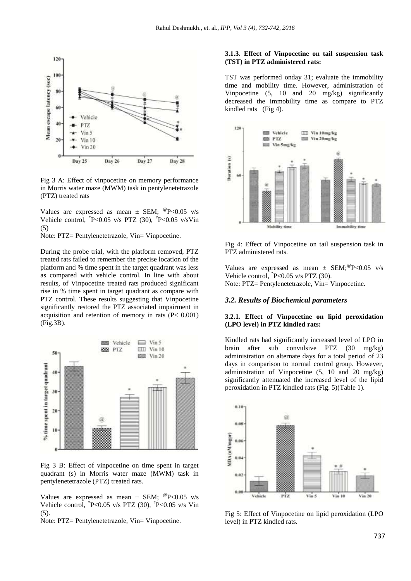

Fig 3 A: Effect of vinpocetine on memory performance in Morris water maze (MWM) task in pentylenetetrazole (PTZ) treated rats

Values are expressed as mean  $\pm$  SEM;  $^{\circ}P$  < 0.05 v/s Vehicle control,  $P < 0.05$  v/s PTZ (30),  $P > 0.05$  v/s Vin (5)

Note: PTZ= Pentylenetetrazole, Vin= Vinpocetine.

During the probe trial, with the platform removed, PTZ treated rats failed to remember the precise location of the platform and % time spent in the target quadrant was less as compared with vehicle control. In line with about results, of Vinpocetine treated rats produced significant rise in % time spent in target quadrant as compare with PTZ control. These results suggesting that Vinpocetine significantly restored the PTZ associated impairment in acquisition and retention of memory in rats (P< 0.001) (Fig.3B).



Fig 3 B: Effect of vinpocetine on time spent in target quadrant (s) in Morris water maze (MWM) task in pentylenetetrazole (PTZ) treated rats.

Values are expressed as mean  $\pm$  SEM;  $^{\circ}P$  < 0.05 v/s Vehicle control, \* P<0.05 v/s PTZ (30), # P<0.05 v/s Vin (5).

Note: PTZ= Pentylenetetrazole, Vin= Vinpocetine.

## **3.1.3. Effect of Vinpocetine on tail suspension task (TST) in PTZ administered rats:**

TST was performed onday 31; evaluate the immobility time and mobility time. However, administration of Vinpocetine (5, 10 and 20 mg/kg) significantly decreased the immobility time as compare to PTZ kindled rats (Fig 4).



Fig 4: Effect of Vinpocetine on tail suspension task in PTZ administered rats.

Values are expressed as mean  $\pm$  SEM;  $^{\circ}P$  < 0.05 v/s Vehicle control,  $P<0.05$  v/s PTZ (30). Note: PTZ= Pentylenetetrazole, Vin= Vinpocetine.

## *3.2. Results of Biochemical parameters*

## **3.2.1. Effect of Vinpocetine on lipid peroxidation (LPO level) in PTZ kindled rats:**

Kindled rats had significantly increased level of LPO in brain after sub convulsive PTZ (30 mg/kg) administration on alternate days for a total period of 23 days in comparison to normal control group. However, administration of Vinpocetine (5, 10 and 20 mg/kg) significantly attenuated the increased level of the lipid peroxidation in PTZ kindled rats (Fig. 5)(Table 1).



Fig 5: Effect of Vinpocetine on lipid peroxidation (LPO level) in PTZ kindled rats.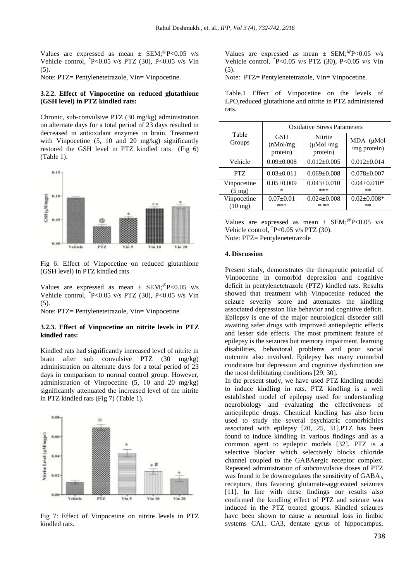Values are expressed as mean  $\pm$  SEM;  $^{\circ}P$  < 0.05 v/s Vehicle control, \* P<0.05 v/s PTZ (30), P<0.05 v/s Vin (5).

Note: PTZ= Pentylenetetrazole, Vin= Vinpocetine.

## **3.2.2. Effect of Vinpocetine on reduced glutathione (GSH level) in PTZ kindled rats:**

Chronic, sub-convulsive PTZ (30 mg/kg) administration on alternate days for a total period of 23 days resulted in decreased in antioxidant enzymes in brain. Treatment with Vinpocetine (5, 10 and 20 mg/kg) significantly restored the GSH level in PTZ kindled rats (Fig 6) (Table 1).



Fig 6: Effect of Vinpocetine on reduced glutathione (GSH level) in PTZ kindled rats.

Values are expressed as mean  $\pm$  SEM;  $^{\circ}P$  < 0.05 v/s Vehicle control, \* P<0.05 v/s PTZ (30), P<0.05 v/s Vin (5).

Note: PTZ= Pentylenetetrazole, Vin= Vinpocetine.

#### **3.2.3. Effect of Vinpocetine on nitrite levels in PTZ kindled rats:**

Kindled rats had significantly increased level of nitrite in brain after sub convulsive PTZ (30 mg/kg) administration on alternate days for a total period of 23 days in comparison to normal control group. However, administration of Vinpocetine (5, 10 and 20 mg/kg) significantly attenuated the increased level of the nitrite in PTZ kindled rats (Fig 7) (Table 1).



Fig 7: Effect of Vinpocetine on nitrite levels in PTZ kindled rats.

Values are expressed as mean  $\pm$  SEM;  $^{\circ}P$  < 0.05 v/s Vehicle control, \* P<0.05 v/s PTZ (30), P<0.05 v/s Vin (5).

Note: PTZ= Pentylenetetrazole, Vin= Vinpocetine.

Table.1 Effect of Vinpocetine on the levels of LPO,reduced glutathione and nitrite in PTZ administered rats.

|                                  | <b>Oxidative Stress Parameters</b>  |                                      |                            |
|----------------------------------|-------------------------------------|--------------------------------------|----------------------------|
| Table<br>Groups                  | <b>GSH</b><br>(nMol/mg)<br>protein) | Nitrite<br>$(\mu$ Mol/mg<br>protein) | MDA (µMol<br>/mg protein)  |
| Vehicle                          | $0.09 \pm 0.008$                    | $0.012 \pm 0.005$                    | $0.012 \pm 0.014$          |
| PTZ.                             | $0.03 \pm 0.011$                    | $0.069 \pm 0.008$                    | $0.078 + 0.007$            |
| Vinpocetine<br>$(5 \text{ mg})$  | $0.05 \pm 0.009$<br>×               | $0.043 \pm 0.010$<br>***             | $0.04 \pm 0.010*$<br>$* *$ |
| Vinpocetine<br>$(10 \text{ mg})$ | $0.07 \pm 0.01$<br>***              | $0.024 \pm 0.008$<br>* **            | $0.02 \pm 0.008*$<br>$* *$ |

Values are expressed as mean  $\pm$  SEM;  $^{\circ}P$  < 0.05 v/s Vehicle control,  $P<0.05$  v/s PTZ (30). Note: PTZ= Pentylenetetrazole

## **4. Discussion**

Present study, demonstrates the therapeutic potential of Vinpocetine in comorbid depression and cognitive deficit in pentylenetetrazole (PTZ) kindled rats. Results showed that treatment with Vinpocetine reduced the seizure severity score and attenuates the kindling associated depression like behavior and cognitive deficit. Epilepsy is one of the major neurological disorder still awaiting safer drugs with improved antiepileptic effects and lesser side effects. The most prominent feature of epilepsy is the seizures but memory impairment, learning disabilities, behavioral problems and poor social outcome also involved. Epilepsy has many comorbid conditions but depression and cognitive dysfunction are the most delibitating conditions [29, 30].

In the present study, we have used PTZ kindling model to induce kindling in rats. PTZ kindling is a well established model of epilepsy used for understanding neurobiology and evaluating the effectiveness of antiepileptic drugs. Chemical kindling has also been used to study the several psychiatric comorbidities associated with epilepsy [20, 25, 31].PTZ has been found to induce kindling in various findings and as a common agent to epileptic models [32]. PTZ is a selective blocker which selectively blocks chloride channel coupled to the GABAergic receptor complex. Repeated administration of subconvulsive doses of PTZ was found to be downregulates the sensitivity of  $GABA_A$ receptors, thus favoring glutamate-aggravated seizures [11]. In line with these findings our results also confirmed the kindling effect of PTZ and seizure was induced in the PTZ treated groups. Kindled seizures have been shown to cause a neuronal loss in limbic systems CA1, CA3, dentate gyrus of hippocampus,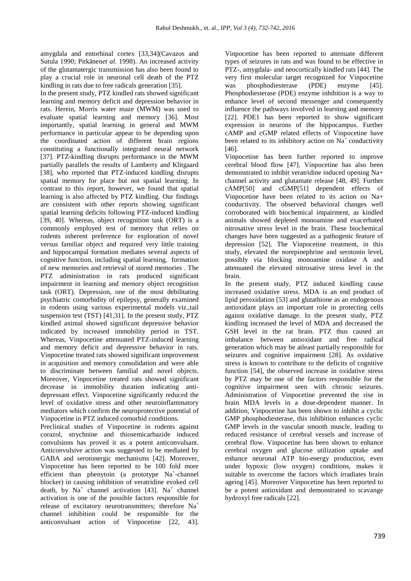amygdala and entorhinal cortex [33,34](Cavazos and Sutula 1990; Pitkänen*et al*. 1998). An increased activity of the glutamatergic transmission has also been found to play a crucial role in neuronal cell death of the PTZ kindling in rats due to free radicals generation [35].

In the present study, PTZ kindled rats showed significant learning and memory deficit and depression behavior in rats. Herein, Morris water maze (MWM) was used to evaluate spatial learning and memory [36]. Most importantly, spatial learning in general and MWM performance in particular appear to be depending upon the coordinated action of different brain regions constituting a functionally integrated neural network [37]. PTZ-kindling disrupts performance in the MWM partially parallels the results of Lamberty and Klitgaard [38], who reported that PTZ-induced kindling disrupts spatial memory for place but not spatial learning. In contrast to this report, however, we found that spatial learning is also affected by PTZ kindling. Our findings are consistent with other reports showing significant spatial learning deficits following PTZ-induced kindling [39, 40]. Whereas, object recognition task (ORT) is a commonly employed test of memory that relies on rodents inherent preference for exploration of novel versus familiar object and required very little training and hippocampal formation mediates several aspects of cognitive function, including spatial learning, formation of new memories and retrieval of stored memories . The PTZ administration in rats produced significant impairment in learning and memory object recognition task (ORT). Depression, one of the most debilitating psychiatric comorbidity of epilepsy, generally examined in rodents using various experimental models viz.,tail suspension test (TST) [41,31]. In the present study, PTZ kindled animal showed significant depressive behavior indicated by increased immobility period in TST. Whereas, Vinpocetine attenuated PTZ-induced learning and memory deficit and depressive behavior in rats. Vinpocetine treated rats showed significant improvement in acquisition and memory consolidation and were able to discriminate between familial and novel objects. Moreover, Vinpocetine treated rats showed significant decrease in immobility duration indicating antidepressant effect. Vinpocetine significantly reduced the level of oxidative stress and other neuroinflammatory mediators which confirm the neuroprotective potential of Vinpocetine in PTZ induced comorbid conditions.

Preclinical studies of Vinpocetine in rodents against corazol, strychnine and thiosemicarbazide induced convulsions has proved it as a potent anticonvulsant. Anticonvulsive action was suggested to be mediated by GABA and serotonergic mechanisms [42]. Moreover, Vinpocetine has been reported to be 100 fold more efficient than phenytoin (a prototype Na<sup>+</sup>-channel blocker) in causing inhibition of veratridine evoked cell death, by  $Na^+$  channel activation [43].  $Na^+$  channel activation is one of the possible factors responsible for release of excitatory neurotransmitters; therefore Na<sup>+</sup> channel inhibition could be responsible for the anticonvulsant action of Vinpocetine [22, 43].

Vinpocetine has been reported to attenuate different types of seizures in rats and was found to be effective in PTZ-, amygdala- and neocortically kindled rats [44]. The very first molecular target recognized for Vinpocetine was phosphodiesterase (PDE) enzyme [45]. Phosphodiesterase (PDE) enzyme inhibition is a way to enhance level of second messenger and consequently influence the pathways involved in learning and memory [22]. PDE1 has been reported to show significant expression in neurons of the hippocampus. Further cAMP and cGMP related effects of Vinpocetine have been related to its inhibitory action on  $\overline{Na}^+$  conductivity [46].

Vinpocetine has been further reported to improve cerebral blood flow [47]. Vinpocetine has also been demonstrated to inhibit veratridine induced opening Na+ channel activity and glutamate release [48, 49]. Further cAMP[50] and cGMP[51] dependent effects of Vinpocetine have been related to its action on Na+ conductivity. The observed behavioral changes well corroborated with biochemical impairment, as kindled animals showed depleted monoamine and exacerbated nitrosative stress level in the brain. These biochemical changes have been suggested as a pathogenic feature of depression [52]. The Vinpocetine treatment, in this study, elevated the norepinephrine and serotonin level, possibly via blocking monoamine oxidase A and attenuated the elevated nitrosative stress level in the brain.

In the present study, PTZ induced kindling cause increased oxidative stress. MDA is an end product of lipid peroxidation [53] and glutathione as an endogenous antioxidant plays an important role in protecting cells against oxidative damage. In the present study, PTZ kindling increased the level of MDA and decreased the GSH level in the rat brain. PTZ thus caused an imbalance between antioxidant and free radical generation which may be atleast partially responsible for seizures and cognitive impairment [28]. As oxidative stress is known to contribute to the deficits of cognitive function [54], the observed increase in oxidative stress by PTZ may be one of the factors responsible for the cognitive impairment seen with chronic seizures. Administration of Vinpocetine prevented the rise in brain MDA levels in a dose-dependent manner. In addition, Vinpocetine has been shown to inhibit a cyclic GMP phosphodiesterase, this inhibition enhances cyclic GMP levels in the vascular smooth muscle, leading to reduced resistance of cerebral vessels and increase of cerebral flow. Vinpocetine has been shown to enhance cerebral oxygen and glucose utilization uptake and enhance neuronal ATP bio-energy production, even under hypoxic (low oxygen) conditions, makes it suitable to overcome the factors which irradiates brain ageing [45]. Moreover Vinpocetine has been reported to be a potent antioxidant and demonstrated to scavange hydroxyl free radicals [22].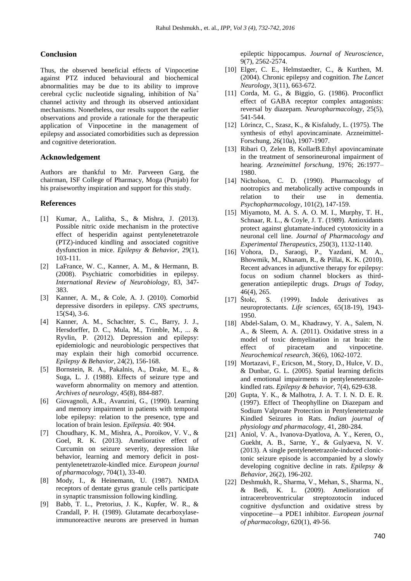## **Conclusion**

Thus, the observed beneficial effects of Vinpocetine against PTZ induced behavioural and biochemical abnormalities may be due to its ability to improve cerebral cyclic nucleotide signaling, inhibition of Na<sup>+</sup> channel activity and through its observed antioxidant mechanisms. Nonetheless, our results support the earlier observations and provide a rationale for the therapeutic application of Vinpocetine in the management of epilepsy and associated comorbidities such as depression and cognitive deterioration.

## **Acknowledgement**

Authors are thankful to Mr. Parveeen Garg, the chairman, ISF College of Pharmacy, Moga (Punjab) for his praiseworthy inspiration and support for this study.

## **References**

- [1] Kumar, A., Lalitha, S., & Mishra, J. (2013). Possible nitric oxide mechanism in the protective effect of hesperidin against pentylenetetrazole (PTZ)-induced kindling and associated cognitive dysfunction in mice. *Epilepsy & Behavior*, 29(1), 103-111.
- [2] LaFrance, W. C., Kanner, A. M., & Hermann, B. (2008). Psychiatric comorbidities in epilepsy. *International Review of Neurobiology*, 83, 347- 383.
- [3] Kanner, A. M., & Cole, A. J. (2010). Comorbid depressive disorders in epilepsy. *CNS spectrums*, 15(S4), 3-6.
- [4] Kanner, A. M., Schachter, S. C., Barry, J. J., Hersdorffer, D. C., Mula, M., Trimble, M., ... & Ryvlin, P. (2012). Depression and epilepsy: epidemiologic and neurobiologic perspectives that may explain their high comorbid occurrence. *Epilepsy & Behavior*, 24(2), 156-168.
- [5] Bornstein, R. A., Pakalnis, A., Drake, M. E., & Suga, L. J. (1988). Effects of seizure type and waveform abnormality on memory and attention. *Archives of neurology*, 45(8), 884-887.
- [6] Giovagnoli, A.R., Avanzini, G., (1990). Learning and memory impairment in patients with temporal lobe epilepsy: relation to the presence, type and location of brain lesion. *Epilepsia.* 40: 904.
- [7] Choudhary, K. M., Mishra, A., Poroikov, V. V., & Goel, R. K. (2013). Ameliorative effect of Curcumin on seizure severity, depression like behavior, learning and memory deficit in postpentylenetetrazole-kindled mice. *European journal of pharmacology*, 704(1), 33-40.
- [8] Mody, I., & Heinemann, U. (1987). NMDA receptors of dentate gyrus granule cells participate in synaptic transmission following kindling.
- [9] Babb, T. L., Pretorius, J. K., Kupfer, W. R., & Crandall, P. H. (1989). Glutamate decarboxylaseimmunoreactive neurons are preserved in human

epileptic hippocampus. *Journal of Neuroscience*, 9(7), 2562-2574.

- [10] Elger, C. E., Helmstaedter, C., & Kurthen, M. (2004). Chronic epilepsy and cognition. *The Lancet Neurology*, 3(11), 663-672.
- [11] Corda, M. G., & Biggio, G. (1986). Proconflict effect of GABA receptor complex antagonists: reversal by diazepam. *Neuropharmacology*, 25(5), 541-544.
- [12] Lörincz, C., Szasz, K., & Kisfaludy, L. (1975). The synthesis of ethyl apovincaminate. Arzneimittel-Forschung, 26(10a), 1907-1907.
- [13] Ribari O, Zelen B, KollarB.Ethyl apovincaminate in the treatment of sensorineuronal impairment of hearing. *Arzneimittel forschung*, 1976; 26:1977– 1980.
- [14] Nicholson, C. D. (1990). Pharmacology of nootropics and metabolically active compounds in relation to their use in dementia. *Psychopharmacology*, 101(2), 147-159.
- [15] Miyamoto, M. A. S. A. O. M. I., Murphy, T. H., Schnaar, R. L., & Coyle, J. T. (1989). Antioxidants protect against glutamate-induced cytotoxicity in a neuronal cell line. *Journal of Pharmacology and Experimental Therapeutics*, 250(3), 1132-1140.
- [16] Vohora, D., Saraogi, P., Yazdani, M. A., Bhowmik, M., Khanam, R., & Pillai, K. K. (2010). Recent advances in adjunctive therapy for epilepsy: focus on sodium channel blockers as thirdgeneration antiepileptic drugs. *Drugs of Today*, 46(4), 265.
- [17] Štolc, S. (1999). Indole derivatives as neuroprotectants. *Life sciences*, 65(18-19), 1943- 1950.
- [18] Abdel-Salam, O. M., Khadrawy, Y. A., Salem, N. A., & Sleem, A. A. (2011). Oxidative stress in a model of toxic demyelination in rat brain: the effect of piracetam and vinpocetine. *Neurochemical research*, 36(6), 1062-1072.
- [19] Mortazavi, F., Ericson, M., Story, D., Hulce, V. D., & Dunbar, G. L. (2005). Spatial learning deficits and emotional impairments in pentylenetetrazolekindled rats. *Epilepsy & behavior*, 7(4), 629-638.
- [20] Gupta, Y. K., & Malhotra, J. A. T. I. N. D. E. R. (1997). Effect of Theophylline on Diazepam and Sodium Valproate Protection in Pentylenetetrazole Kindled Seizures in Rats. *Indian journal of physiology and pharmacology*, 41, 280-284.
- [21] Aniol, V. A., Ivanova-Dyatlova, A. Y., Keren, O., Guekht, A. B., Sarne, Y., & Gulyaeva, N. V. (2013). A single pentylenetetrazole-induced clonictonic seizure episode is accompanied by a slowly developing cognitive decline in rats. *Epilepsy & Behavior*, 26(2), 196-202.
- [22] Deshmukh, R., Sharma, V., Mehan, S., Sharma, N., & Bedi, K. L. (2009). Amelioration of intracerebroventricular streptozotocin induced cognitive dysfunction and oxidative stress by vinpocetine—a PDE1 inhibitor. *European journal of pharmacology*, 620(1), 49-56.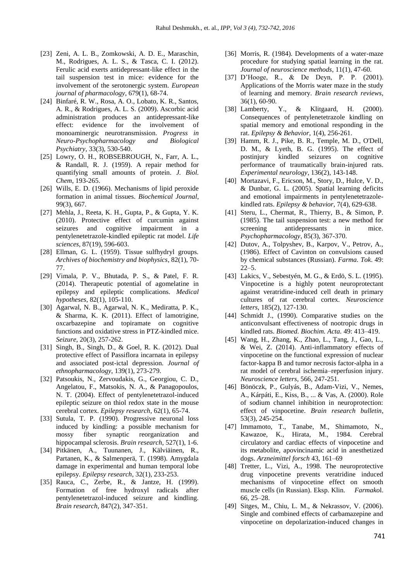- [23] Zeni, A. L. B., Zomkowski, A. D. E., Maraschin, M., Rodrigues, A. L. S., & Tasca, C. I. (2012). Ferulic acid exerts antidepressant-like effect in the tail suspension test in mice: evidence for the involvement of the serotonergic system. *European journal of pharmacology*, 679(1), 68-74.
- [24] Binfaré, R. W., Rosa, A. O., Lobato, K. R., Santos, A. R., & Rodrigues, A. L. S. (2009). Ascorbic acid administration produces an antidepressant-like effect: evidence for the involvement of monoaminergic neurotransmission. *Progress in Neuro-Psychopharmacology and Biological Psychiatry*, 33(3), 530-540.
- [25] Lowry, O. H., ROBSEBROUGH, N., Farr, A. L., & Randall, R. J. (1959). A repair method for quantifying small amounts of protein. *J. Biol. Chem*, 193-265.
- [26] Wills, E. D. (1966). Mechanisms of lipid peroxide formation in animal tissues. *Biochemical Journal*, 99(3), 667.
- [27] Mehla, J., Reeta, K. H., Gupta, P., & Gupta, Y. K. (2010). Protective effect of curcumin against seizures and cognitive impairment in a pentylenetetrazole-kindled epileptic rat model. *Life sciences*, 87(19), 596-603.
- [28] Ellman, G. L. (1959). Tissue sulfhydryl groups. *Archives of biochemistry and biophysics*, 82(1), 70- 77.
- [29] Vimala, P. V., Bhutada, P. S., & Patel, F. R. (2014). Therapeutic potential of agomelatine in epilepsy and epileptic complications. *Medical hypotheses*, 82(1), 105-110.
- [30] Agarwal, N. B., Agarwal, N. K., Mediratta, P. K., & Sharma, K. K. (2011). Effect of lamotrigine, oxcarbazepine and topiramate on cognitive functions and oxidative stress in PTZ-kindled mice. *Seizure*, 20(3), 257-262.
- [31] Singh, B., Singh, D., & Goel, R. K. (2012). Dual protective effect of Passiflora incarnata in epilepsy and associated post-ictal depression. *Journal of ethnopharmacology*, 139(1), 273-279.
- [32] Patsoukis, N., Zervoudakis, G., Georgiou, C. D., Angelatou, F., Matsokis, N. A., & Panagopoulos, N. T. (2004). Effect of pentylenetetrazol-induced epileptic seizure on thiol redox state in the mouse cerebral cortex. *Epilepsy research*, 62(1), 65-74.
- [33] Sutula, T. P. (1990). Progressive neuronal loss induced by kindling: a possible mechanism for mossy fiber synaptic reorganization and hippocampal sclerosis. *Brain research*, 527(1), 1-6.
- [34] Pitkänen, A., Tuunanen, J., Kälviäinen, R., Partanen, K., & Salmenperä, T. (1998). Amygdala damage in experimental and human temporal lobe epilepsy. *Epilepsy research*, 32(1), 233-253.
- [35] Rauca, C., Zerbe, R., & Jantze, H. (1999). Formation of free hydroxyl radicals after pentylenetetrazol-induced seizure and kindling. *Brain research*, 847(2), 347-351.
- [36] Morris, R. (1984). Developments of a water-maze procedure for studying spatial learning in the rat. *Journal of neuroscience methods*, 11(1), 47-60.
- [37] D'Hooge, R., & De Deyn, P. P. (2001). Applications of the Morris water maze in the study of learning and memory. *Brain research reviews*, 36(1), 60-90.
- [38] Lamberty, Y., & Klitgaard, H. (2000). Consequences of pentylenetetrazole kindling on spatial memory and emotional responding in the rat. *Epilepsy & Behavior*, 1(4), 256-261.
- [39] Hamm, R. J., Pike, B. R., Temple, M. D., O'Dell, D. M., & Lyeth, B. G. (1995). The effect of postinjury kindled seizures on cognitive performance of traumatically brain-injured rats. *Experimental neurology*, 136(2), 143-148.
- [40] Mortazavi, F., Ericson, M., Story, D., Hulce, V. D., & Dunbar, G. L. (2005). Spatial learning deficits and emotional impairments in pentylenetetrazolekindled rats. *Epilepsy & behavior*, 7(4), 629-638.
- [41] Steru, L., Chermat, R., Thierry, B., & Simon, P. (1985). The tail suspension test: a new method for screening antidepressants in mice. *Psychopharmacology*, 85(3), 367-370.
- [42] Dutov, A., Tolpyshev, B., Karpov, V., Petrov, A., (1986). Effect of Cavinton on convulsions caused by chemical substances (Russian). *Farma. Tok*. 49:  $22 - 5$ .
- [43] Lakics, V., Sebestyén, M. G., & Erdö, S. L. (1995). Vinpocetine is a highly potent neuroprotectant against veratridine-induced cell death in primary cultures of rat cerebral cortex. *Neuroscience letters*, 185(2), 127-130.
- [44] Schmidt J., (1990). Comparative studies on the anticonvulsant effectiveness of nootropic drugs in kindled rats. *Biomed. Biochim. Acta.* 49: 413–419.
- [45] Wang, H., Zhang, K., Zhao, L., Tang, J., Gao, L., & Wei, Z. (2014). Anti-inflammatory effects of vinpocetine on the functional expression of nuclear factor-kappa B and tumor necrosis factor-alpha in a rat model of cerebral ischemia–reperfusion injury. *Neuroscience letters*, 566, 247-251.
- [46] Bönöczk, P., Gulyás, B., Adam-Vizi, V., Nemes, A., Kárpáti, E., Kiss, B., ... & Vas, A. (2000). Role of sodium channel inhibition in neuroprotection: effect of vinpocetine. *Brain research bulletin*, 53(3), 245-254.
- [47] Immamoto, T., Tanabe, M., Shimamoto, N., Kawazoe, K., Hirata, M., 1984. Cerebral circulatory and cardiac effects of vinpocetine and its metabolite, apovincinamic acid in anesthetized dogs. *Arzneimittel forsch* 43, 161–69
- [48] Tretter, L., Vizi, A., 1998. The neuroprotective drug vinpocetine prevents veratridine induced mechanisms of vinpocetine effect on smooth muscle cells (in Russian). Eksp. Klin. *Farmako*l. 66, 25–28.
- [49] Sitges, M., Chiu, L. M., & Nekrassov, V. (2006). Single and combined effects of carbamazepine and vinpocetine on depolarization-induced changes in